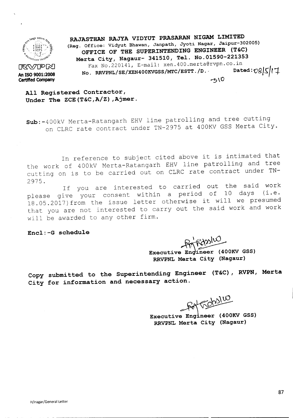

**Certified Company**

**RAJASTHAN RAJYA VIDYUT PRASARAN NIGAM LIMITED (Reg. Office: Vidyut Bhawan, Janpath, Jyoti Nagar, Jaipur-302005) OFFICE OF THE SUPERINTENDING ENGINEER (T&C) Merta City, Nagaur- 341510, Tel. No.01590-221353** Fax No.220141, E-mail: xen.400.merta@rvpn.co.in<br>RRVPNL/SE/XEN400KVGSS/MTC/ESTT./D. Dated: 08|5|17 No. RRVPNL/SE/XEN400KVGSS/MTC/ESTT./D.  $-510$ 

**All Registered Contractor, Under The ZCE(T&C,A/Z) ,Ajmer.**

**Sub:-400kV** Merta-Ratangarh EHV line patrolling and tree cutting on CLRC rate contract under TN-2975 at 400KV GSS Merta City.

In reference to subject cited above it is intimated that the work of 400kV Merta-Ratangarh EHV line patrolling and tree cutting on is to be carried out on CLRC rate contract under TN-2975.

If you are interested to carried out the said work please give your consent within a period of 18.05.2017) from the issue letter otherwise it will we presumed that you are not interested to carry out the said work and work will be awarded to any other firm.

**Encl:-G schedule**

Priferalus

Executive Engineer (400KV GSS) **RRVPNL Merta City (Nagaur)**

**Copy submitted to the Superintending Engineer** (T&C) , **RVPN, Merta City for information and necessary action.**

Fot Gobsluo

Executive Engineer (400KV GSS) **RRVPNL Merta City (Nagaur)**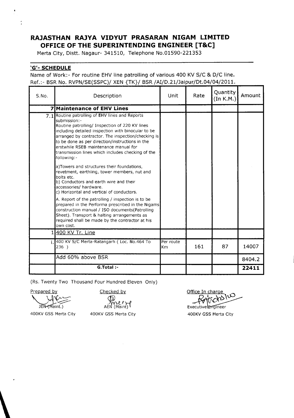## **RAJASTHAN RAJYA VIDYUT PRASARAN NIGAM LIMITED OFFICE OF THE SUPERINTENDING ENGINEER [T&C]**

Merta City, Distt. Nagaur- 341510, Telephone No.01590-221353

## **'G'- SCHEDULE**

 $\ddot{\cdot}$ 

Name of Work:- For routine EHV line patrolling of various 400 KV S/C & D/C line. Ref.:- BSR No. RVPN/SE(SSPC)/ XEN {TK}/ BSR/AI/D.21/Jaipur/Dt.04/04/2011.

| S.No. | Description                                                                                                                                                                                                                                                                                                                                                                                   | Unit                        | Rate | Quantity<br>(In K.M.) | Amount |
|-------|-----------------------------------------------------------------------------------------------------------------------------------------------------------------------------------------------------------------------------------------------------------------------------------------------------------------------------------------------------------------------------------------------|-----------------------------|------|-----------------------|--------|
| 7     | Maintenance of EHV Lines                                                                                                                                                                                                                                                                                                                                                                      |                             |      |                       |        |
|       | 7.1 Routine patrolling of EHV lines and Reports<br>submission:-<br>Routine patrolling/ Inspection of 220 KV lines<br>including detailed inspection with binocular to be<br>arranged by contractor. The inspection/checking is<br>to be done as per direction/instructions in the<br>erstwhile RSEB maintenance manual for<br>transmission lines which includes checking of the<br>following:- |                             |      |                       |        |
|       | a)Towers and structures their foundations,<br>revetment, earthling, tower members, nut and<br>bolts etc.<br>b) Conductors and earth wire and their<br>accessories/ hardware.<br>c) Horizontal and vertical of conductors.                                                                                                                                                                     |                             |      |                       |        |
|       | A. Report of the patrolling / inspection is to be<br>prepared in the Performa prescribed in the Nigams<br>construction manual / ISO documents(Patrolling<br>Sheet). Transport & halting arrangements as<br>required shall be made by the contractor at his<br>own cost.                                                                                                                       |                             |      |                       |        |
|       | 1400 KV Tr. Line                                                                                                                                                                                                                                                                                                                                                                              |                             |      |                       |        |
|       | 400 KV S/C Merta-Ratangarh (Loc. No.464 To<br>236)                                                                                                                                                                                                                                                                                                                                            | Per route<br>K <sub>m</sub> | 161  | 87                    | 14007  |
|       | Add 60% above BSR                                                                                                                                                                                                                                                                                                                                                                             |                             |      |                       | 8404.2 |
|       | G.Total :-                                                                                                                                                                                                                                                                                                                                                                                    |                             |      |                       | 22411  |

(Rs. Twenty Two Thousand Four Hundred Eleven Only)

Prepared by  $\setminus$ 

Checked by

JEN-(Maint.)

AEN (Maint)

400KV GSS Merta City

\

400KV GSS Merta City

 $\omega$  $\overline{C}$ . ∕ ∿

Executive Engineer 400KV GSS Merta City